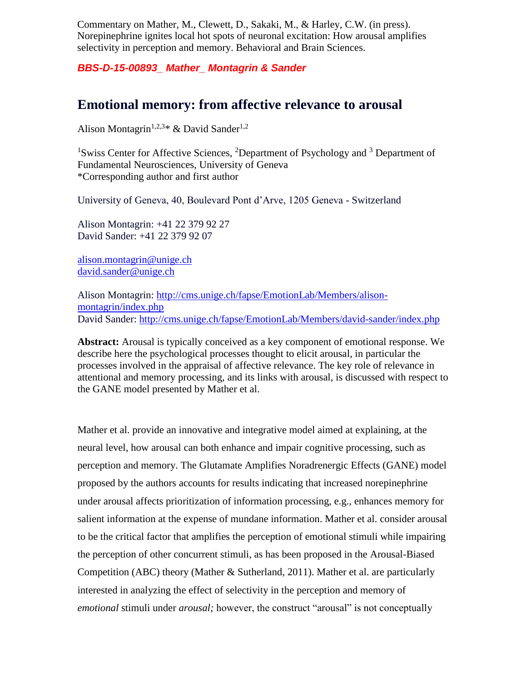Commentary on Mather, M., Clewett, D., Sakaki, M., & Harley, C.W. (in press). Norepinephrine ignites local hot spots of neuronal excitation: How arousal amplifies selectivity in perception and memory. Behavioral and Brain Sciences.

*BBS-D-15-00893\_ Mather\_ Montagrin & Sander*

## **Emotional memory: from affective relevance to arousal**

Alison Montagrin<sup>1,2,3\*</sup> & David Sander<sup>1,2</sup>

<sup>1</sup>Swiss Center for Affective Sciences, <sup>2</sup>Department of Psychology and <sup>3</sup> Department of Fundamental Neurosciences, University of Geneva \*Corresponding author and first author

University of Geneva, 40, Boulevard Pont d'Arve, 1205 Geneva - Switzerland

Alison Montagrin: +41 22 379 92 27 David Sander: +41 22 379 92 07

[alison.montagrin@unige.ch](mailto:alison.montagrin@unige.ch) [david.sander@unige.ch](mailto:david.sander@unige.ch)

Alison Montagrin: [http://cms.unige.ch/fapse/EmotionLab/Members/alison](http://cms.unige.ch/fapse/EmotionLab/Members/alison-montagrin/index.php)[montagrin/index.php](http://cms.unige.ch/fapse/EmotionLab/Members/alison-montagrin/index.php) David Sander:<http://cms.unige.ch/fapse/EmotionLab/Members/david-sander/index.php>

**Abstract:** Arousal is typically conceived as a key component of emotional response. We describe here the psychological processes thought to elicit arousal, in particular the processes involved in the appraisal of affective relevance. The key role of relevance in attentional and memory processing, and its links with arousal, is discussed with respect to the GANE model presented by Mather et al.

Mather et al. provide an innovative and integrative model aimed at explaining, at the neural level, how arousal can both enhance and impair cognitive processing, such as perception and memory. The Glutamate Amplifies Noradrenergic Effects (GANE) model proposed by the authors accounts for results indicating that increased norepinephrine under arousal affects prioritization of information processing, e.g., enhances memory for salient information at the expense of mundane information. Mather et al. consider arousal to be the critical factor that amplifies the perception of emotional stimuli while impairing the perception of other concurrent stimuli, as has been proposed in the Arousal-Biased Competition (ABC) theory (Mather & Sutherland, 2011). Mather et al. are particularly interested in analyzing the effect of selectivity in the perception and memory of *emotional* stimuli under *arousal;* however, the construct "arousal" is not conceptually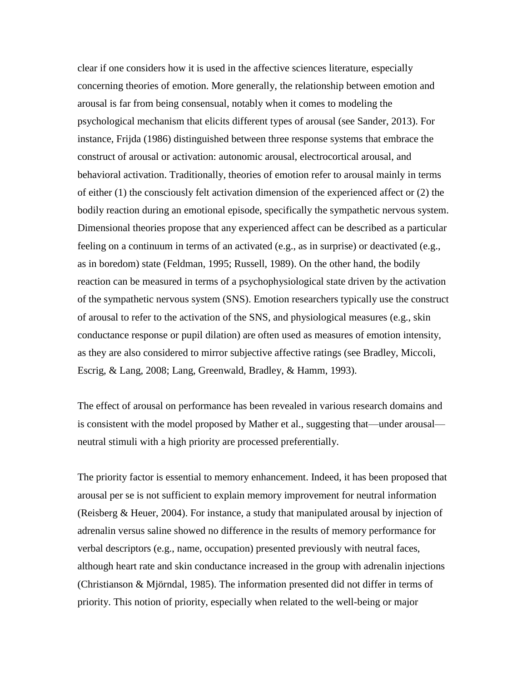clear if one considers how it is used in the affective sciences literature, especially concerning theories of emotion. More generally, the relationship between emotion and arousal is far from being consensual, notably when it comes to modeling the psychological mechanism that elicits different types of arousal (see Sander, 2013). For instance, Frijda (1986) distinguished between three response systems that embrace the construct of arousal or activation: autonomic arousal, electrocortical arousal, and behavioral activation. Traditionally, theories of emotion refer to arousal mainly in terms of either (1) the consciously felt activation dimension of the experienced affect or (2) the bodily reaction during an emotional episode, specifically the sympathetic nervous system. Dimensional theories propose that any experienced affect can be described as a particular feeling on a continuum in terms of an activated (e.g., as in surprise) or deactivated (e.g., as in boredom) state (Feldman, 1995; Russell, 1989). On the other hand, the bodily reaction can be measured in terms of a psychophysiological state driven by the activation of the sympathetic nervous system (SNS). Emotion researchers typically use the construct of arousal to refer to the activation of the SNS, and physiological measures (e.g., skin conductance response or pupil dilation) are often used as measures of emotion intensity, as they are also considered to mirror subjective affective ratings (see Bradley, Miccoli, Escrig, & Lang, 2008; Lang, Greenwald, Bradley, & Hamm, 1993).

The effect of arousal on performance has been revealed in various research domains and is consistent with the model proposed by Mather et al., suggesting that—under arousal neutral stimuli with a high priority are processed preferentially.

The priority factor is essential to memory enhancement. Indeed, it has been proposed that arousal per se is not sufficient to explain memory improvement for neutral information (Reisberg & Heuer, 2004). For instance, a study that manipulated arousal by injection of adrenalin versus saline showed no difference in the results of memory performance for verbal descriptors (e.g., name, occupation) presented previously with neutral faces, although heart rate and skin conductance increased in the group with adrenalin injections (Christianson & Mjörndal, 1985). The information presented did not differ in terms of priority. This notion of priority, especially when related to the well-being or major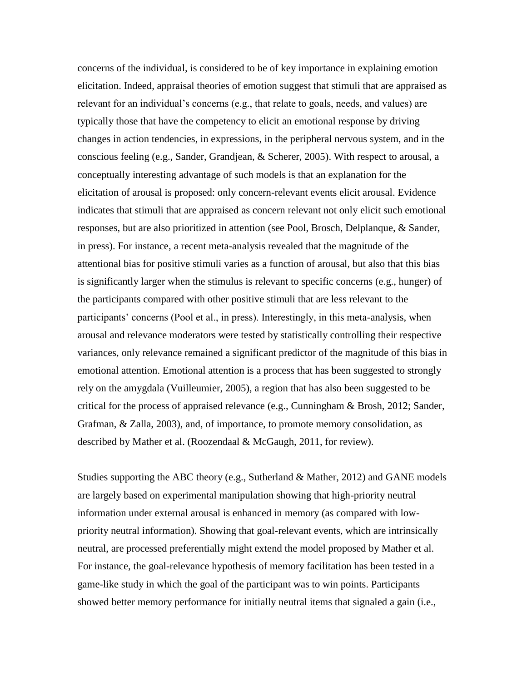concerns of the individual, is considered to be of key importance in explaining emotion elicitation. Indeed, appraisal theories of emotion suggest that stimuli that are appraised as relevant for an individual's concerns (e.g., that relate to goals, needs, and values) are typically those that have the competency to elicit an emotional response by driving changes in action tendencies, in expressions, in the peripheral nervous system, and in the conscious feeling (e.g., Sander, Grandjean, & Scherer, 2005). With respect to arousal, a conceptually interesting advantage of such models is that an explanation for the elicitation of arousal is proposed: only concern-relevant events elicit arousal. Evidence indicates that stimuli that are appraised as concern relevant not only elicit such emotional responses, but are also prioritized in attention (see Pool, Brosch, Delplanque, & Sander, in press). For instance, a recent meta-analysis revealed that the magnitude of the attentional bias for positive stimuli varies as a function of arousal, but also that this bias is significantly larger when the stimulus is relevant to specific concerns (e.g., hunger) of the participants compared with other positive stimuli that are less relevant to the participants' concerns (Pool et al., in press). Interestingly, in this meta-analysis, when arousal and relevance moderators were tested by statistically controlling their respective variances, only relevance remained a significant predictor of the magnitude of this bias in emotional attention. Emotional attention is a process that has been suggested to strongly rely on the amygdala (Vuilleumier, 2005), a region that has also been suggested to be critical for the process of appraised relevance (e.g., Cunningham & Brosh, 2012; Sander, Grafman, & Zalla, 2003), and, of importance, to promote memory consolidation, as described by Mather et al. (Roozendaal & McGaugh, 2011, for review).

Studies supporting the ABC theory (e.g., Sutherland & Mather, 2012) and GANE models are largely based on experimental manipulation showing that high-priority neutral information under external arousal is enhanced in memory (as compared with lowpriority neutral information). Showing that goal-relevant events, which are intrinsically neutral, are processed preferentially might extend the model proposed by Mather et al. For instance, the goal-relevance hypothesis of memory facilitation has been tested in a game-like study in which the goal of the participant was to win points. Participants showed better memory performance for initially neutral items that signaled a gain (i.e.,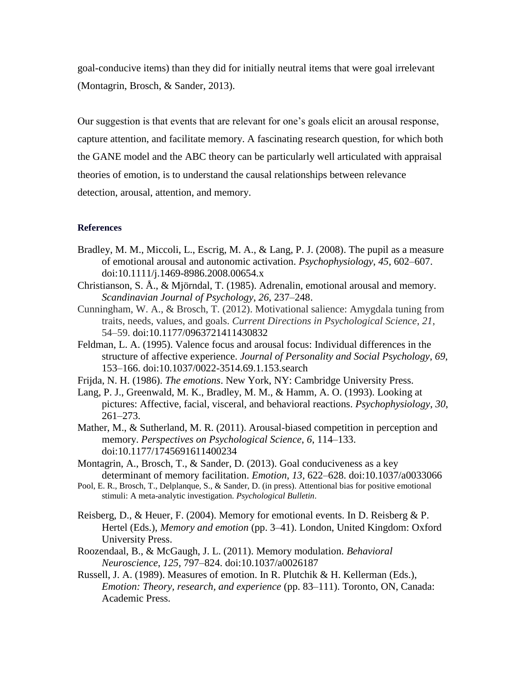goal-conducive items) than they did for initially neutral items that were goal irrelevant (Montagrin, Brosch, & Sander, 2013).

Our suggestion is that events that are relevant for one's goals elicit an arousal response, capture attention, and facilitate memory. A fascinating research question, for which both the GANE model and the ABC theory can be particularly well articulated with appraisal theories of emotion, is to understand the causal relationships between relevance detection, arousal, attention, and memory.

## **References**

- Bradley, M. M., Miccoli, L., Escrig, M. A., & Lang, P. J. (2008). The pupil as a measure of emotional arousal and autonomic activation. *Psychophysiology*, *45*, 602–607. doi:10.1111/j.1469-8986.2008.00654.x
- Christianson, S. Å., & Mjörndal, T. (1985). Adrenalin, emotional arousal and memory. *Scandinavian Journal of Psychology*, *26*, 237–248.
- Cunningham, W. A., & Brosch, T. (2012). Motivational salience: Amygdala tuning from traits, needs, values, and goals. *Current Directions in Psychological Science*, *21*, 54–59. doi:10.1177/0963721411430832
- Feldman, L. A. (1995). Valence focus and arousal focus: Individual differences in the structure of affective experience. *Journal of Personality and Social Psychology*, *69*, 153–166. doi:10.1037/0022-3514.69.1.153.search
- Frijda, N. H. (1986). *The emotions*. New York, NY: Cambridge University Press.
- Lang, P. J., Greenwald, M. K., Bradley, M. M., & Hamm, A. O. (1993). Looking at pictures: Affective, facial, visceral, and behavioral reactions. *Psychophysiology*, *30*, 261–273.
- Mather, M., & Sutherland, M. R. (2011). Arousal-biased competition in perception and memory. *Perspectives on Psychological Science*, *6*, 114–133. doi:10.1177/1745691611400234
- Montagrin, A., Brosch, T., & Sander, D. (2013). Goal conduciveness as a key determinant of memory facilitation. *Emotion*, *13*, 622–628. doi:10.1037/a0033066
- Pool, E. R., Brosch, T., Delplanque, S., & Sander, D. (in press). Attentional bias for positive emotional stimuli: A meta-analytic investigation. *Psychological Bulletin*.
- Reisberg, D., & Heuer, F. (2004). Memory for emotional events. In D. Reisberg & P. Hertel (Eds.), *Memory and emotion* (pp. 3–41). London, United Kingdom: Oxford University Press.
- Roozendaal, B., & McGaugh, J. L. (2011). Memory modulation. *Behavioral Neuroscience*, *125*, 797–824. doi:10.1037/a0026187
- Russell, J. A. (1989). Measures of emotion. In R. Plutchik & H. Kellerman (Eds.), *Emotion: Theory, research, and experience* (pp. 83–111). Toronto, ON, Canada: Academic Press.